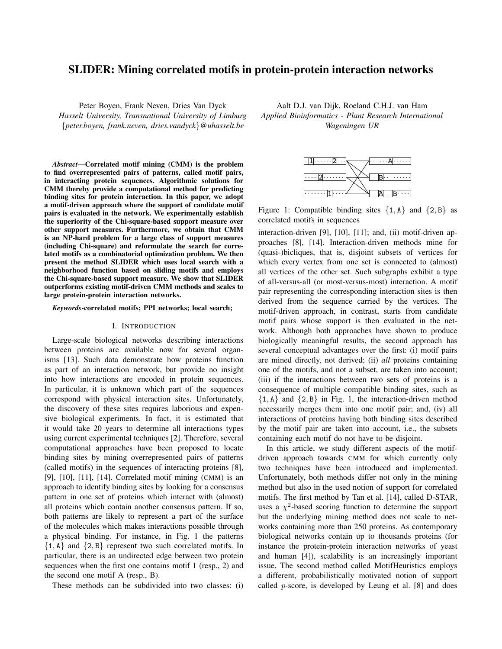# SLIDER: Mining correlated motifs in protein-protein interaction networks

Peter Boyen, Frank Neven, Dries Van Dyck *Hasselt University, Transnational University of Limburg* {*peter.boyen, frank.neven, dries.vandyck*}*@uhasselt.be*

*Abstract*—Correlated motif mining (CMM) is the problem to find overrepresented pairs of patterns, called motif pairs, in interacting protein sequences. Algorithmic solutions for CMM thereby provide a computational method for predicting binding sites for protein interaction. In this paper, we adopt a motif-driven approach where the support of candidate motif pairs is evaluated in the network. We experimentally establish the superiority of the Chi-square-based support measure over other support measures. Furthermore, we obtain that CMM is an NP-hard problem for a large class of support measures (including Chi-square) and reformulate the search for correlated motifs as a combinatorial optimization problem. We then present the method SLIDER which uses local search with a neighborhood function based on sliding motifs and employs the Chi-square-based support measure. We show that SLIDER outperforms existing motif-driven CMM methods and scales to large protein-protein interaction networks.

*Keywords*-correlated motifs; PPI networks; local search;

#### I. INTRODUCTION

Large-scale biological networks describing interactions between proteins are available now for several organisms [13]. Such data demonstrate how proteins function as part of an interaction network, but provide no insight into how interactions are encoded in protein sequences. In particular, it is unknown which part of the sequences correspond with physical interaction sites. Unfortunately, the discovery of these sites requires laborious and expensive biological experiments. In fact, it is estimated that it would take 20 years to determine all interactions types using current experimental techniques [2]. Therefore, several computational approaches have been proposed to locate binding sites by mining overrepresented pairs of patterns (called motifs) in the sequences of interacting proteins [8], [9], [10], [11], [14]. Correlated motif mining (CMM) is an approach to identify binding sites by looking for a consensus pattern in one set of proteins which interact with (almost) all proteins which contain another consensus pattern. If so, both patterns are likely to represent a part of the surface of the molecules which makes interactions possible through a physical binding. For instance, in Fig. 1 the patterns  $\{1, A\}$  and  $\{2, B\}$  represent two such correlated motifs. In particular, there is an undirected edge between two protein sequences when the first one contains motif 1 (resp., 2) and the second one motif A (resp., B).

These methods can be subdivided into two classes: (i)

Aalt D.J. van Dijk, Roeland C.H.J. van Ham *Applied Bioinformatics - Plant Research International Wageningen UR*



Figure 1: Compatible binding sites  $\{1, A\}$  and  $\{2, B\}$  as correlated motifs in sequences

interaction-driven [9], [10], [11]; and, (ii) motif-driven approaches [8], [14]. Interaction-driven methods mine for (quasi-)bicliques, that is, disjoint subsets of vertices for which every vertex from one set is connected to (almost) all vertices of the other set. Such subgraphs exhibit a type of all-versus-all (or most-versus-most) interaction. A motif pair representing the corresponding interaction sites is then derived from the sequence carried by the vertices. The motif-driven approach, in contrast, starts from candidate motif pairs whose support is then evaluated in the network. Although both approaches have shown to produce biologically meaningful results, the second approach has several conceptual advantages over the first: (i) motif pairs are mined directly, not derived; (ii) *all* proteins containing one of the motifs, and not a subset, are taken into account; (iii) if the interactions between two sets of proteins is a consequence of multiple compatible binding sites, such as  $\{1, A\}$  and  $\{2, B\}$  in Fig. 1, the interaction-driven method necessarily merges them into one motif pair; and, (iv) all interactions of proteins having both binding sites described by the motif pair are taken into account, i.e., the subsets containing each motif do not have to be disjoint.

In this article, we study different aspects of the motifdriven approach towards CMM for which currently only two techniques have been introduced and implemented. Unfortunately, both methods differ not only in the mining method but also in the used notion of support for correlated motifs. The first method by Tan et al. [14], called D-STAR, uses a  $\chi^2$ -based scoring function to determine the support but the underlying mining method does not scale to networks containing more than 250 proteins. As contemporary biological networks contain up to thousands proteins (for instance the protein-protein interaction networks of yeast and human [4]), scalability is an increasingly important issue. The second method called MotifHeuristics employs a different, probabilistically motivated notion of support called p-score, is developed by Leung et al. [8] and does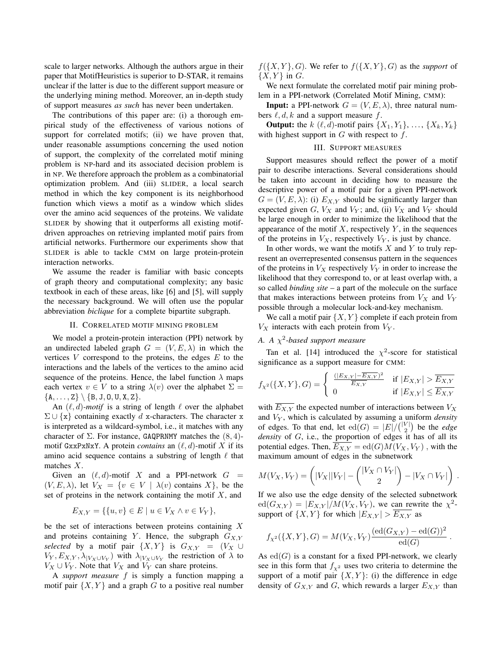scale to larger networks. Although the authors argue in their paper that MotifHeuristics is superior to D-STAR, it remains unclear if the latter is due to the different support measure or the underlying mining method. Moreover, an in-depth study of support measures *as such* has never been undertaken.

The contributions of this paper are: (i) a thorough empirical study of the effectiveness of various notions of support for correlated motifs; (ii) we have proven that, under reasonable assumptions concerning the used notion of support, the complexity of the correlated motif mining problem is NP-hard and its associated decision problem is in NP. We therefore approach the problem as a combinatorial optimization problem. And (iii) SLIDER, a local search method in which the key component is its neighborhood function which views a motif as a window which slides over the amino acid sequences of the proteins. We validate SLIDER by showing that it outperforms all existing motifdriven approaches on retrieving implanted motif pairs from artificial networks. Furthermore our experiments show that SLIDER is able to tackle CMM on large protein-protein interaction networks.

We assume the reader is familiar with basic concepts of graph theory and computational complexity; any basic textbook in each of these areas, like [6] and [5], will supply the necessary background. We will often use the popular abbreviation *biclique* for a complete bipartite subgraph.

### II. CORRELATED MOTIF MINING PROBLEM

We model a protein-protein interaction (PPI) network by an undirected labeled graph  $G = (V, E, \lambda)$  in which the vertices  $V$  correspond to the proteins, the edges  $E$  to the interactions and the labels of the vertices to the amino acid sequence of the proteins. Hence, the label function  $\lambda$  maps each vertex  $v \in V$  to a string  $\lambda(v)$  over the alphabet  $\Sigma =$  ${A, \ldots, Z} \ \{B, J, 0, U, X, Z\}.$ 

An  $(\ell, d)$ *-motif* is a string of length  $\ell$  over the alphabet  $\Sigma \cup \{x\}$  containing exactly d x-characters. The character x is interpreted as a wildcard-symbol, i.e., it matches with any character of  $\Sigma$ . For instance, GAQPRNMY matches the  $(8, 4)$ motif GxxPxNxY. A protein *contains* an  $(\ell, d)$ -motif X if its amino acid sequence contains a substring of length  $\ell$  that matches X.

Given an  $(\ell, d)$ -motif X and a PPI-network  $G =$  $(V, E, \lambda)$ , let  $V_X = \{v \in V \mid \lambda(v)$  contains X $\}$ , be the set of proteins in the network containing the motif  $X$ , and

$$
E_{X,Y} = \{ \{u, v\} \in E \mid u \in V_X \land v \in V_Y \},\
$$

be the set of interactions between proteins containing  $X$ and proteins containing Y. Hence, the subgraph  $G_{X,Y}$ *selected* by a motif pair  $\{X, Y\}$  is  $G_{X,Y} = (V_X \cup$  $V_Y, E_{X,Y}, \lambda_{|V_X \cup V_Y}$  with  $\lambda_{|V_X \cup V_Y}$  the restriction of  $\lambda$  to  $V_X \cup V_Y$ . Note that  $V_X$  and  $V_Y$  can share proteins.

A *support measure* f is simply a function mapping a motif pair  $\{X, Y\}$  and a graph G to a positive real number  $f({X, Y}, G)$ . We refer to  $f({X, Y}, G)$  as the *support* of  $\{X, Y\}$  in G.

We next formulate the correlated motif pair mining problem in a PPI-network (Correlated Motif Mining, CMM):

**Input:** a PPI-network  $G = (V, E, \lambda)$ , three natural numbers  $\ell, d, k$  and a support measure f.

**Output:** the k  $(\ell, d)$ -motif pairs  $\{X_1, Y_1\}, \ldots, \{X_k, Y_k\}$ with highest support in  $G$  with respect to  $f$ .

## III. SUPPORT MEASURES

Support measures should reflect the power of a motif pair to describe interactions. Several considerations should be taken into account in deciding how to measure the descriptive power of a motif pair for a given PPI-network  $G = (V, E, \lambda)$ : (i)  $E_{X,Y}$  should be significantly larger than expected given  $G$ ,  $V_X$  and  $V_Y$ ; and, (ii)  $V_X$  and  $V_Y$  should be large enough in order to minimize the likelihood that the appearance of the motif  $X$ , respectively  $Y$ , in the sequences of the proteins in  $V_X$ , respectively  $V_Y$ , is just by chance.

In other words, we want the motifs  $X$  and  $Y$  to truly represent an overrepresented consensus pattern in the sequences of the proteins in  $V_X$  respectively  $V_Y$  in order to increase the likelihood that they correspond to, or at least overlap with, a so called *binding site* – a part of the molecule on the surface that makes interactions between proteins from  $V_X$  and  $V_Y$ possible through a molecular lock-and-key mechanism.

We call a motif pair  $\{X, Y\}$  complete if each protein from  $V_X$  interacts with each protein from  $V_Y$ .

## *A. A* χ 2 *-based support measure*

Tan et al. [14] introduced the  $\chi^2$ -score for statistical significance as a support measure for CMM:

$$
f_{\chi^2}(\{X,Y\},G) = \begin{cases} \frac{(|E_{X,Y}| - \overline{E_{X,Y}})^2}{\overline{E_{X,Y}}} & \text{if } |E_{X,Y}| > \overline{E_{X,Y}}\\ 0 & \text{if } |E_{X,Y}| \le \overline{E_{X,Y}} \end{cases}
$$

with  $\overline{E_{X,Y}}$  the expected number of interactions between  $V_X$ and V<sup>Y</sup> , which is calculated by assuming a uniform *density* of edges. To that end, let  $ed(G) = |E| / { |V| \choose 2}$  be the *edge density* of G, i.e., the proportion of edges it has of all its potential edges. Then,  $\overline{E_{X,Y}} = ed(G)M(V_X, V_Y)$ , with the maximum amount of edges in the subnetwork

$$
M(V_X, V_Y) = \left( |V_X| |V_Y| - \binom{|V_X \cap V_Y|}{2} - |V_X \cap V_Y| \right) .
$$

If we also use the edge density of the selected subnetwork  $ed(G_{X,Y}) = |E_{X,Y}|/M(V_X,V_Y)$ , we can rewrite the  $\chi^2$ support of  $\{X, Y\}$  for which  $|E_{X,Y}| > \overline{E_{X,Y}}$  as

$$
f_{\chi^2}(\{X,Y\},G) = M(V_X,V_Y)\frac{(\mathrm{ed}(G_{X,Y}) - \mathrm{ed}(G))^2}{\mathrm{ed}(G)}
$$

.

As  $ed(G)$  is a constant for a fixed PPI-network, we clearly see in this form that  $f_{\gamma^2}$  uses two criteria to determine the support of a motif pair  $\{X, Y\}$ : (i) the difference in edge density of  $G_{X,Y}$  and G, which rewards a larger  $E_{X,Y}$  than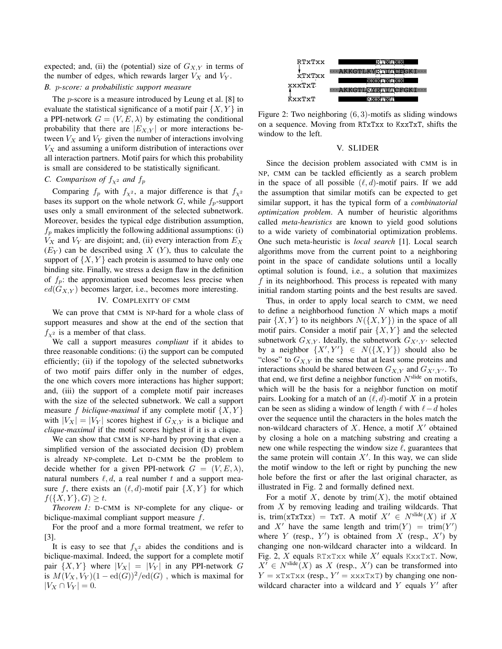expected; and, (ii) the (potential) size of  $G_{X,Y}$  in terms of the number of edges, which rewards larger  $V_X$  and  $V_Y$ .

## *B.* p*-score: a probabilistic support measure*

The p-score is a measure introduced by Leung et al. [8] to evaluate the statistical significance of a motif pair  $\{X, Y\}$  in a PPI-network  $G = (V, E, \lambda)$  by estimating the conditional probability that there are  $|E_{X,Y}|$  or more interactions between  $V_X$  and  $V_Y$  given the number of interactions involving  $V_X$  and assuming a uniform distribution of interactions over all interaction partners. Motif pairs for which this probability is small are considered to be statistically significant.

## *C. Comparison of*  $f_{\chi^2}$  *and*  $f_p$

Comparing  $f_p$  with  $f_{\chi^2}$ , a major difference is that  $f_{\chi^2}$ bases its support on the whole network  $G$ , while  $f_p$ -support uses only a small environment of the selected subnetwork. Moreover, besides the typical edge distribution assumption,  $f_p$  makes implicitly the following additional assumptions: (i)  $V_X$  and  $V_Y$  are disjoint; and, (ii) every interaction from  $E_X$  $(E_Y)$  can be described using X  $(Y)$ , thus to calculate the support of  $\{X, Y\}$  each protein is assumed to have only one binding site. Finally, we stress a design flaw in the definition of  $f_p$ : the approximation used becomes less precise when  $ed(G_{X,Y})$  becomes larger, i.e., becomes more interesting.

#### IV. COMPLEXITY OF CMM

We can prove that CMM is NP-hard for a whole class of support measures and show at the end of the section that  $f_{\chi^2}$  is a member of that class.

We call a support measures *compliant* if it abides to three reasonable conditions: (i) the support can be computed efficiently; (ii) if the topology of the selected subnetworks of two motif pairs differ only in the number of edges, the one which covers more interactions has higher support; and, (iii) the support of a complete motif pair increases with the size of the selected subnetwork. We call a support measure f *biclique-maximal* if any complete motif  $\{X, Y\}$ with  $|V_X| = |V_Y|$  scores highest if  $G_{X,Y}$  is a biclique and *clique-maximal* if the motif scores highest if it is a clique.

We can show that CMM is NP-hard by proving that even a simplified version of the associated decision (D) problem is already NP-complete. Let D-CMM be the problem to decide whether for a given PPI-network  $G = (V, E, \lambda)$ , natural numbers  $\ell, d$ , a real number t and a support measure f, there exists an  $(\ell, d)$ -motif pair  $\{X, Y\}$  for which  $f({X, Y}, G) \ge t$ .

*Theorem 1:* D-CMM is NP-complete for any clique- or biclique-maximal compliant support measure f.

For the proof and a more formal treatment, we refer to [3].

It is easy to see that  $f_{\gamma^2}$  abides the conditions and is biclique-maximal. Indeed, the support for a complete motif pair  $\{X, Y\}$  where  $|V_X| = |V_Y|$  in any PPI-network G is  $M(V_X, V_Y)(1 - ed(G))^2/ed(G)$ , which is maximal for  $|V_X \cap V_Y| = 0.$ 



Figure 2: Two neighboring  $(6, 3)$ -motifs as sliding windows on a sequence. Moving from RTxTxx to KxxTxT, shifts the window to the left.

#### V. SLIDER

Since the decision problem associated with CMM is in NP, CMM can be tackled efficiently as a search problem in the space of all possible  $(\ell, d)$ -motif pairs. If we add the assumption that similar motifs can be expected to get similar support, it has the typical form of a *combinatorial optimization problem*. A number of heuristic algorithms called *meta-heuristics* are known to yield good solutions to a wide variety of combinatorial optimization problems. One such meta-heuristic is *local search* [1]. Local search algorithms move from the current point to a neighboring point in the space of candidate solutions until a locally optimal solution is found, i.e., a solution that maximizes f in its neighborhood. This process is repeated with many initial random starting points and the best results are saved.

Thus, in order to apply local search to CMM, we need to define a neighborhood function  $N$  which maps a motif pair  $\{X, Y\}$  to its neighbors  $N(\{X, Y\})$  in the space of all motif pairs. Consider a motif pair  $\{X, Y\}$  and the selected subnetwork  $G_{X,Y}$ . Ideally, the subnetwork  $G_{X',Y'}$  selected by a neighbor  $\{X', Y'\} \in N(\{X, Y\})$  should also be "close" to  $G_{X,Y}$  in the sense that at least some proteins and interactions should be shared between  $G_{X,Y}$  and  $G_{X',Y'}$ . To that end, we first define a neighbor function  $N<sup>slide</sup>$  on motifs, which will be the basis for a neighbor function on motif pairs. Looking for a match of an  $(\ell, d)$ -motif X in a protein can be seen as sliding a window of length  $\ell$  with  $\ell - d$  holes over the sequence until the characters in the holes match the non-wildcard characters of  $X$ . Hence, a motif  $X'$  obtained by closing a hole on a matching substring and creating a new one while respecting the window size  $\ell$ , guarantees that the same protein will contain  $X'$ . In this way, we can slide the motif window to the left or right by punching the new hole before the first or after the last original character, as illustrated in Fig. 2 and formally defined next.

For a motif X, denote by  $\text{trim}(X)$ , the motif obtained from  $X$  by removing leading and trailing wildcards. That is, trim(xTxTxx) = TxT. A motif  $X' \in N^{\text{slide}}(X)$  if X and X' have the same length and trim $(Y)$  = trim $(Y')$ where  $Y$  (resp.,  $Y'$ ) is obtained from  $X$  (resp.,  $X'$ ) by changing one non-wildcard character into a wildcard. In Fig. 2, X equals RTxTxx while  $X'$  equals KxxTxT. Now,  $X' \in N^{\text{slide}}(X)$  as X (resp., X') can be transformed into  $Y = \text{RT} \times \text{TSP}$ ,  $Y' = \text{XXX} \times \text{TSP}$  by changing one nonwildcard character into a wildcard and  $Y$  equals  $Y'$  after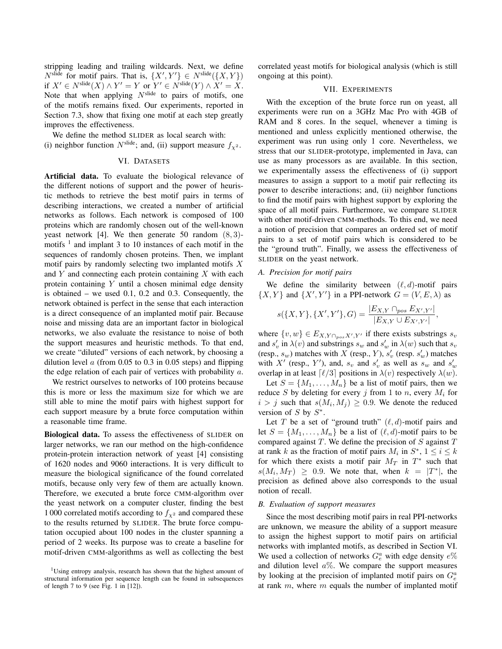stripping leading and trailing wildcards. Next, we define  $N^{\text{slide}}$  for motif pairs. That is,  $\{X', Y'\} \in N^{\text{slide}}(\{X, Y\})$ if  $X' \in N^{\text{slide}}(X) \wedge Y' = Y$  or  $Y' \in N^{\text{slide}}(Y) \wedge X' = X$ . Note that when applying  $N<sup>slide</sup>$  to pairs of motifs, one of the motifs remains fixed. Our experiments, reported in Section 7.3, show that fixing one motif at each step greatly improves the effectiveness.

We define the method SLIDER as local search with: (i) neighbor function  $N^{\text{slide}}$ ; and, (ii) support measure  $f_{\gamma^2}$ .

#### VI. DATASETS

Artificial data. To evaluate the biological relevance of the different notions of support and the power of heuristic methods to retrieve the best motif pairs in terms of describing interactions, we created a number of artificial networks as follows. Each network is composed of 100 proteins which are randomly chosen out of the well-known yeast network [4]. We then generate 50 random  $(8, 3)$ motifs  $<sup>1</sup>$  and implant 3 to 10 instances of each motif in the</sup> sequences of randomly chosen proteins. Then, we implant motif pairs by randomly selecting two implanted motifs  $X$ and  $Y$  and connecting each protein containing  $X$  with each protein containing Y until a chosen minimal edge density is obtained – we used 0.1, 0.2 and 0.3. Consequently, the network obtained is perfect in the sense that each interaction is a direct consequence of an implanted motif pair. Because noise and missing data are an important factor in biological networks, we also evaluate the resistance to noise of both the support measures and heuristic methods. To that end, we create "diluted" versions of each network, by choosing a dilution level  $\alpha$  (from 0.05 to 0.3 in 0.05 steps) and flipping the edge relation of each pair of vertices with probability  $a$ .

We restrict ourselves to networks of 100 proteins because this is more or less the maximum size for which we are still able to mine the motif pairs with highest support for each support measure by a brute force computation within a reasonable time frame.

Biological data. To assess the effectiveness of SLIDER on larger networks, we ran our method on the high-confidence protein-protein interaction network of yeast [4] consisting of 1620 nodes and 9060 interactions. It is very difficult to measure the biological significance of the found correlated motifs, because only very few of them are actually known. Therefore, we executed a brute force CMM-algorithm over the yeast network on a computer cluster, finding the best 1 000 correlated motifs according to  $f_{\chi^2}$  and compared these to the results returned by SLIDER. The brute force computation occupied about 100 nodes in the cluster spanning a period of 2 weeks. Its purpose was to create a baseline for motif-driven CMM-algorithms as well as collecting the best correlated yeast motifs for biological analysis (which is still ongoing at this point).

### VII. EXPERIMENTS

With the exception of the brute force run on yeast, all experiments were run on a 3GHz Mac Pro with 4GB of RAM and 8 cores. In the sequel, whenever a timing is mentioned and unless explicitly mentioned otherwise, the experiment was run using only 1 core. Nevertheless, we stress that our SLIDER-prototype, implemented in Java, can use as many processors as are available. In this section, we experimentally assess the effectiveness of (i) support measures to assign a support to a motif pair reflecting its power to describe interactions; and, (ii) neighbor functions to find the motif pairs with highest support by exploring the space of all motif pairs. Furthermore, we compare SLIDER with other motif-driven CMM-methods. To this end, we need a notion of precision that compares an ordered set of motif pairs to a set of motif pairs which is considered to be the "ground truth". Finally, we assess the effectiveness of SLIDER on the yeast network.

#### *A. Precision for motif pairs*

We define the similarity between  $(\ell, d)$ -motif pairs  $\{X, Y\}$  and  $\{X', Y'\}$  in a PPI-network  $G = (V, E, \lambda)$  as

$$
s({X,Y},{Y,Y',Y'},G) = \frac{|E_{X,Y} \cap_{pos} E_{X',Y'}|}{|E_{X,Y} \cup E_{X',Y'}|},
$$

where  $\{v, w\} \in E_{X, Y \cap_{pos} X', Y'}$  if there exists substrings  $s_v$ and  $s'_v$  in  $\lambda(v)$  and substrings  $s_w$  and  $s'_w$  in  $\lambda(w)$  such that  $s_v$ (resp.,  $s_w$ ) matches with X (resp., Y),  $s'_v$  (resp.  $s'_w$ ) matches with X' (resp., Y'), and,  $s_v$  and  $s'_v$  as well as  $s_w$  and  $s'_w$ overlap in at least  $\lceil \ell/3 \rceil$  positions in  $\lambda(v)$  respectively  $\lambda(w)$ .

Let  $S = \{M_1, \ldots, M_n\}$  be a list of motif pairs, then we reduce S by deleting for every j from 1 to n, every  $M_i$  for  $i > j$  such that  $s(M_i, M_j) \geq 0.9$ . We denote the reduced version of  $S$  by  $S^*$ .

Let T be a set of "ground truth"  $(\ell, d)$ -motif pairs and let  $S = \{M_1, \ldots, M_n\}$  be a list of  $(\ell, d)$ -motif pairs to be compared against  $T$ . We define the precision of  $S$  against  $T$ at rank k as the fraction of motif pairs  $M_i$  in  $S^*$ ,  $1 \le i \le k$ for which there exists a motif pair  $M_T$  in  $T^*$  such that  $s(M_i, M_T) \geq 0.9$ . We note that, when  $k = |T^*|$ , the precision as defined above also corresponds to the usual notion of recall.

### *B. Evaluation of support measures*

Since the most describing motif pairs in real PPI-networks are unknown, we measure the ability of a support measure to assign the highest support to motif pairs on artificial networks with implanted motifs, as described in Section VI. We used a collection of networks  $G_e^a$  with edge density  $e\%$ and dilution level  $a\%$ . We compare the support measures by looking at the precision of implanted motif pairs on  $G_e^a$ at rank  $m$ , where  $m$  equals the number of implanted motif

<sup>&</sup>lt;sup>1</sup>Using entropy analysis, research has shown that the highest amount of structural information per sequence length can be found in subsequences of length 7 to 9 (see Fig. 1 in [12]).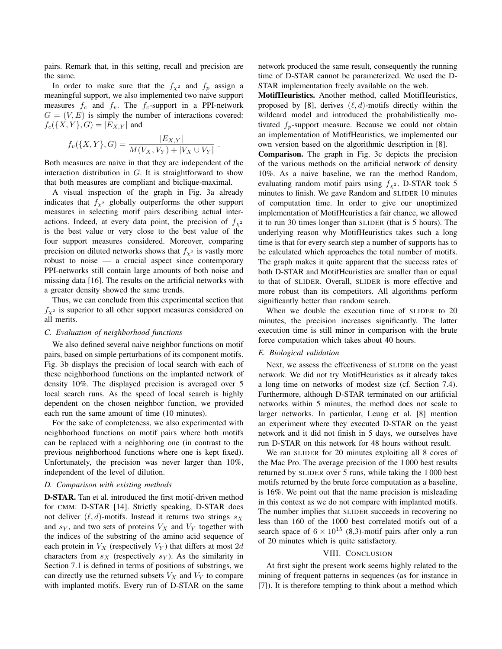pairs. Remark that, in this setting, recall and precision are the same.

In order to make sure that the  $f_{\chi^2}$  and  $f_p$  assign a meaningful support, we also implemented two naive support measures  $f_c$  and  $f_v$ . The  $f_c$ -support in a PPI-network  $G = (V, E)$  is simply the number of interactions covered:  $f_c({X, Y}, G) = |E_{X,Y}|$  and

$$
f_v({X, Y}, G) = \frac{|E_{X,Y}|}{M(V_X, V_Y) + |V_X \cup V_Y|}
$$

.

Both measures are naive in that they are independent of the interaction distribution in  $G$ . It is straightforward to show that both measures are compliant and biclique-maximal.

A visual inspection of the graph in Fig. 3a already indicates that  $f_{\chi^2}$  globally outperforms the other support measures in selecting motif pairs describing actual interactions. Indeed, at every data point, the precision of  $f_{\gamma^2}$ is the best value or very close to the best value of the four support measures considered. Moreover, comparing precision on diluted networks shows that  $f_{\chi^2}$  is vastly more robust to noise — a crucial aspect since contemporary PPI-networks still contain large amounts of both noise and missing data [16]. The results on the artificial networks with a greater density showed the same trends.

Thus, we can conclude from this experimental section that  $f_{\chi^2}$  is superior to all other support measures considered on all merits.

#### *C. Evaluation of neighborhood functions*

We also defined several naive neighbor functions on motif pairs, based on simple perturbations of its component motifs. Fig. 3b displays the precision of local search with each of these neighborhood functions on the implanted network of density 10%. The displayed precision is averaged over 5 local search runs. As the speed of local search is highly dependent on the chosen neighbor function, we provided each run the same amount of time (10 minutes).

For the sake of completeness, we also experimented with neighborhood functions on motif pairs where both motifs can be replaced with a neighboring one (in contrast to the previous neighborhood functions where one is kept fixed). Unfortunately, the precision was never larger than 10%, independent of the level of dilution.

#### *D. Comparison with existing methods*

D-STAR. Tan et al. introduced the first motif-driven method for CMM: D-STAR [14]. Strictly speaking, D-STAR does not deliver  $(\ell, d)$ -motifs. Instead it returns two strings  $s_X$ and  $s_Y$ , and two sets of proteins  $V_X$  and  $V_Y$  together with the indices of the substring of the amino acid sequence of each protein in  $V_X$  (respectively  $V_Y$ ) that differs at most 2d characters from  $s_X$  (respectively  $s_Y$ ). As the similarity in Section 7.1 is defined in terms of positions of substrings, we can directly use the returned subsets  $V_X$  and  $V_Y$  to compare with implanted motifs. Every run of D-STAR on the same network produced the same result, consequently the running time of D-STAR cannot be parameterized. We used the D-STAR implementation freely available on the web.

MotifHeuristics. Another method, called MotifHeuristics, proposed by [8], derives  $(\ell, d)$ -motifs directly within the wildcard model and introduced the probabilistically motivated  $f_p$ -support measure. Because we could not obtain an implementation of MotifHeuristics, we implemented our own version based on the algorithmic description in [8].

Comparison. The graph in Fig. 3c depicts the precision of the various methods on the artificial network of density 10%. As a naive baseline, we ran the method Random, evaluating random motif pairs using  $f_{\chi^2}$ . D-STAR took 5 minutes to finish. We gave Random and SLIDER 10 minutes of computation time. In order to give our unoptimized implementation of MotifHeuristics a fair chance, we allowed it to run 30 times longer than SLIDER (that is 5 hours). The underlying reason why MotifHeuristics takes such a long time is that for every search step a number of supports has to be calculated which approaches the total number of motifs. The graph makes it quite apparent that the success rates of both D-STAR and MotifHeuristics are smaller than or equal to that of SLIDER. Overall, SLIDER is more effective and more robust than its competitors. All algorithms perform significantly better than random search.

When we double the execution time of SLIDER to 20 minutes, the precision increases significantly. The latter execution time is still minor in comparison with the brute force computation which takes about 40 hours.

## *E. Biological validation*

Next, we assess the effectiveness of SLIDER on the yeast network. We did not try MotifHeuristics as it already takes a long time on networks of modest size (cf. Section 7.4). Furthermore, although D-STAR terminated on our artificial networks within 5 minutes, the method does not scale to larger networks. In particular, Leung et al. [8] mention an experiment where they executed D-STAR on the yeast network and it did not finish in 5 days, we ourselves have run D-STAR on this network for 48 hours without result.

We ran SLIDER for 20 minutes exploiting all 8 cores of the Mac Pro. The average precision of the 1 000 best results returned by SLIDER over 5 runs, while taking the 1 000 best motifs returned by the brute force computation as a baseline, is 16%. We point out that the name precision is misleading in this context as we do not compare with implanted motifs. The number implies that SLIDER succeeds in recovering no less than 160 of the 1000 best correlated motifs out of a search space of  $6 \times 10^{15}$  (8,3)-motif pairs after only a run of 20 minutes which is quite satisfactory.

#### VIII. CONCLUSION

At first sight the present work seems highly related to the mining of frequent patterns in sequences (as for instance in [7]). It is therefore tempting to think about a method which